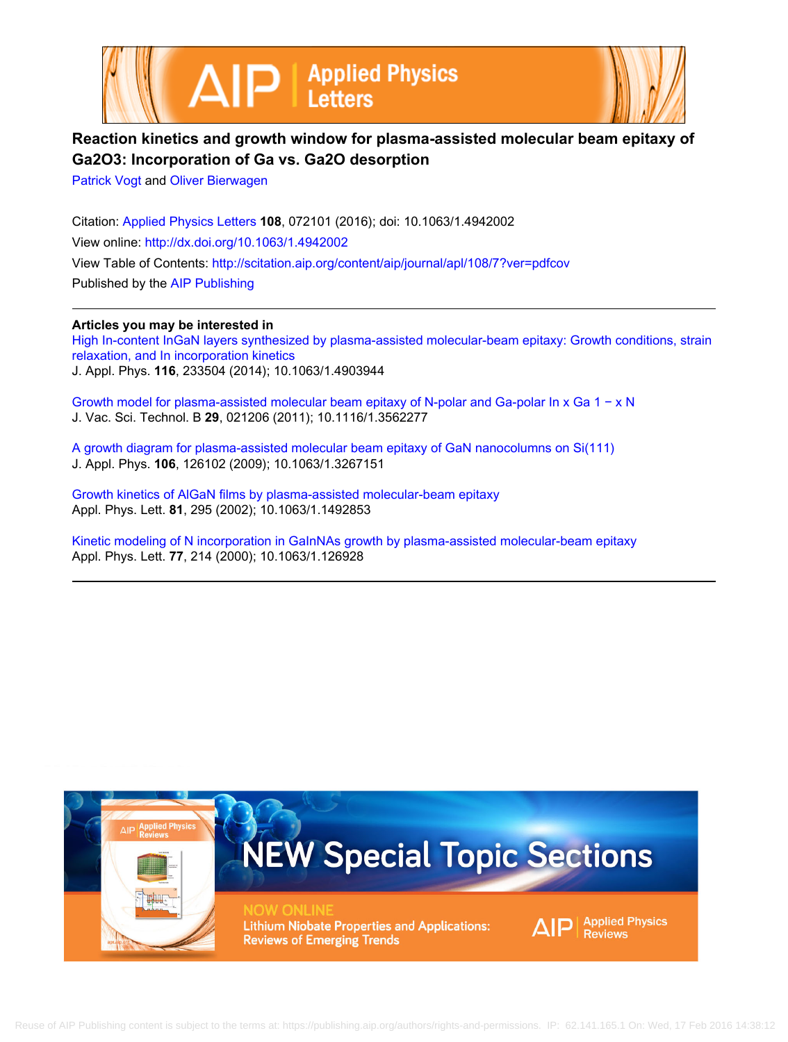



## **Reaction kinetics and growth window for plasma-assisted molecular beam epitaxy of Ga2O3: Incorporation of Ga vs. Ga2O desorption**

[Patrick Vogt](http://scitation.aip.org/search?value1=Patrick+Vogt&option1=author) and [Oliver Bierwagen](http://scitation.aip.org/search?value1=Oliver+Bierwagen&option1=author)

Citation: [Applied Physics Letters](http://scitation.aip.org/content/aip/journal/apl?ver=pdfcov) **108**, 072101 (2016); doi: 10.1063/1.4942002 View online: <http://dx.doi.org/10.1063/1.4942002> View Table of Contents: <http://scitation.aip.org/content/aip/journal/apl/108/7?ver=pdfcov> Published by the [AIP Publishing](http://scitation.aip.org/content/aip?ver=pdfcov)

**Articles you may be interested in**

[High In-content InGaN layers synthesized by plasma-assisted molecular-beam epitaxy: Growth conditions, strain](http://scitation.aip.org/content/aip/journal/jap/116/23/10.1063/1.4903944?ver=pdfcov) [relaxation, and In incorporation kinetics](http://scitation.aip.org/content/aip/journal/jap/116/23/10.1063/1.4903944?ver=pdfcov) J. Appl. Phys. **116**, 233504 (2014); 10.1063/1.4903944

[Growth model for plasma-assisted molecular beam epitaxy of N-polar and Ga-polar In x Ga 1 − x N](http://scitation.aip.org/content/avs/journal/jvstb/29/2/10.1116/1.3562277?ver=pdfcov) J. Vac. Sci. Technol. B **29**, 021206 (2011); 10.1116/1.3562277

[A growth diagram for plasma-assisted molecular beam epitaxy of GaN nanocolumns on Si\(111\)](http://scitation.aip.org/content/aip/journal/jap/106/12/10.1063/1.3267151?ver=pdfcov) J. Appl. Phys. **106**, 126102 (2009); 10.1063/1.3267151

[Growth kinetics of AlGaN films by plasma-assisted molecular-beam epitaxy](http://scitation.aip.org/content/aip/journal/apl/81/2/10.1063/1.1492853?ver=pdfcov) Appl. Phys. Lett. **81**, 295 (2002); 10.1063/1.1492853

[Kinetic modeling of N incorporation in GaInNAs growth by plasma-assisted molecular-beam epitaxy](http://scitation.aip.org/content/aip/journal/apl/77/2/10.1063/1.126928?ver=pdfcov) Appl. Phys. Lett. **77**, 214 (2000); 10.1063/1.126928

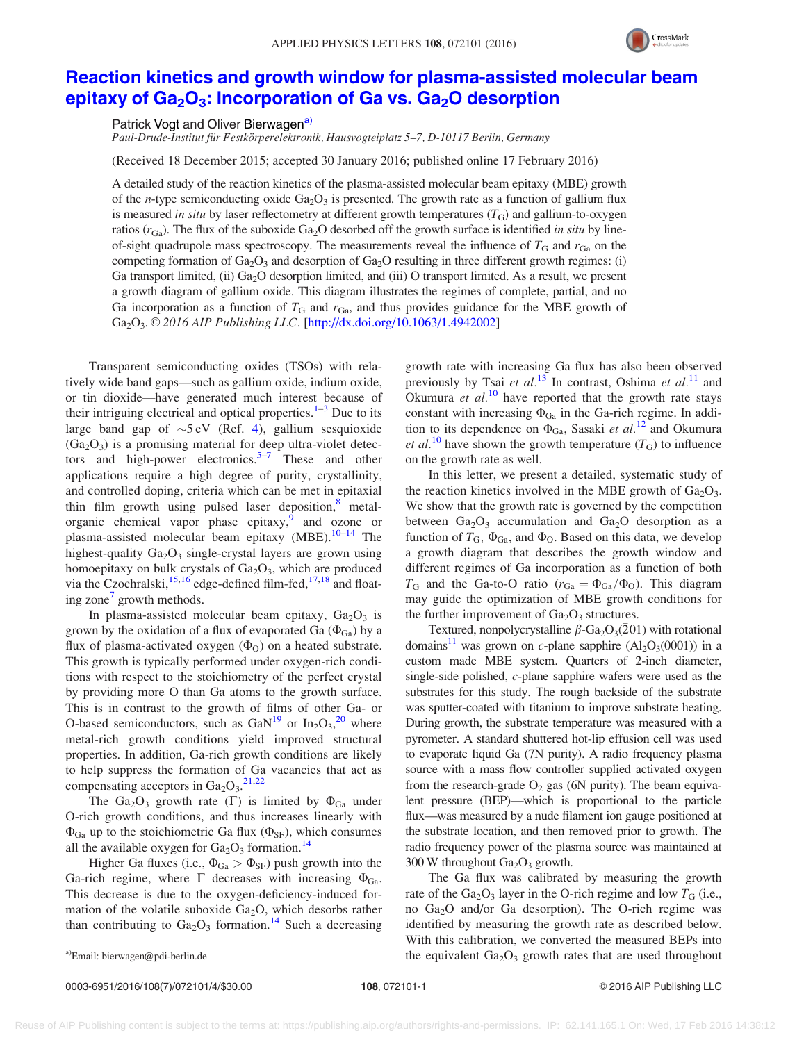

## [Reaction kinetics and growth window for plasma-assisted molecular beam](http://dx.doi.org/10.1063/1.4942002) epitaxy of  $Ga<sub>2</sub>O<sub>3</sub>$ : Incorporation of Ga vs.  $Ga<sub>2</sub>O$  desorption

Patrick Vogt and Oliver Bierwagen<sup>a)</sup>

Paul-Drude-Institut für Festkörperelektronik, Hausvogteiplatz 5–7, D-10117 Berlin, Germany

(Received 18 December 2015; accepted 30 January 2016; published online 17 February 2016)

A detailed study of the reaction kinetics of the plasma-assisted molecular beam epitaxy (MBE) growth of the *n*-type semiconducting oxide  $Ga<sub>2</sub>O<sub>3</sub>$  is presented. The growth rate as a function of gallium flux is measured in situ by laser reflectometry at different growth temperatures  $(T<sub>G</sub>)$  and gallium-to-oxygen ratios  $(r_{Ga})$ . The flux of the suboxide Ga<sub>2</sub>O desorbed off the growth surface is identified in situ by lineof-sight quadrupole mass spectroscopy. The measurements reveal the influence of  $T_{\rm G}$  and  $r_{\rm Ga}$  on the competing formation of  $Ga<sub>2</sub>O<sub>3</sub>$  and desorption of  $Ga<sub>2</sub>O$  resulting in three different growth regimes: (i) Ga transport limited, (ii)  $Ga_2O$  desorption limited, and (iii) O transport limited. As a result, we present a growth diagram of gallium oxide. This diagram illustrates the regimes of complete, partial, and no Ga incorporation as a function of  $T_{\text{G}}$  and  $r_{\text{Ga}}$ , and thus provides guidance for the MBE growth of Ga<sub>2</sub>O<sub>3</sub>. © 2016 AIP Publishing LLC. [\[http://dx.doi.org/10.1063/1.4942002](http://dx.doi.org/10.1063/1.4942002)]

Transparent semiconducting oxides (TSOs) with relatively wide band gaps—such as gallium oxide, indium oxide, or tin dioxide—have generated much interest because of their intriguing electrical and optical properties. $1-3$  Due to its large band gap of  $\sim$ 5 eV (Ref. [4](#page-4-0)), gallium sesquioxide  $(Ga<sub>2</sub>O<sub>3</sub>)$  is a promising material for deep ultra-violet detec-tors and high-power electronics.<sup>[5–7](#page-4-0)</sup> These and other applications require a high degree of purity, crystallinity, and controlled doping, criteria which can be met in epitaxial thin film growth using pulsed laser deposition,<sup>[8](#page-4-0)</sup> metalorganic chemical vapor phase epitaxy, and ozone or plasma-assisted molecular beam epitaxy (MBE). $10-14$  The highest-quality  $Ga<sub>2</sub>O<sub>3</sub>$  single-crystal layers are grown using homoepitaxy on bulk crystals of  $Ga<sub>2</sub>O<sub>3</sub>$ , which are produced via the Czochralski, $15,16$  edge-defined film-fed,  $17,18$  $17,18$  $17,18$  and float-ing zone<sup>[7](#page-4-0)</sup> growth methods.

In plasma-assisted molecular beam epitaxy,  $Ga<sub>2</sub>O<sub>3</sub>$  is grown by the oxidation of a flux of evaporated Ga  $(\Phi_{Ga})$  by a flux of plasma-activated oxygen  $(\Phi_0)$  on a heated substrate. This growth is typically performed under oxygen-rich conditions with respect to the stoichiometry of the perfect crystal by providing more O than Ga atoms to the growth surface. This is in contrast to the growth of films of other Ga- or O-based semiconductors, such as  $\text{GaN}^{19}$  $\text{GaN}^{19}$  $\text{GaN}^{19}$  or  $\text{In}_2\text{O}_3$ , <sup>[20](#page-4-0)</sup> where metal-rich growth conditions yield improved structural properties. In addition, Ga-rich growth conditions are likely to help suppress the formation of Ga vacancies that act as compensating acceptors in  $Ga_2O_3$ .<sup>[21,22](#page-4-0)</sup>

The Ga<sub>2</sub>O<sub>3</sub> growth rate ( $\Gamma$ ) is limited by  $\Phi_{Ga}$  under O-rich growth conditions, and thus increases linearly with  $\Phi_{Ga}$  up to the stoichiometric Ga flux ( $\Phi_{SF}$ ), which consumes all the available oxygen for  $Ga<sub>2</sub>O<sub>3</sub>$  formation.<sup>[14](#page-4-0)</sup>

Higher Ga fluxes (i.e.,  $\Phi_{Ga} > \Phi_{SF}$ ) push growth into the Ga-rich regime, where  $\Gamma$  decreases with increasing  $\Phi_{Ga}$ . This decrease is due to the oxygen-deficiency-induced formation of the volatile suboxide  $Ga<sub>2</sub>O$ , which desorbs rather than contributing to  $Ga<sub>2</sub>O<sub>3</sub>$  formation.<sup>[14](#page-4-0)</sup> Such a decreasing growth rate with increasing Ga flux has also been observed previously by Tsai et al.<sup>[13](#page-4-0)</sup> In contrast, Oshima et al.<sup>[11](#page-4-0)</sup> and Okumura et  $al$ <sup>[10](#page-4-0)</sup> have reported that the growth rate stays constant with increasing  $\Phi_{Ga}$  in the Ga-rich regime. In addition to its dependence on  $\Phi_{Ga}$ , Sasaki *et al.*<sup>[12](#page-4-0)</sup> and Okumura *et al.*<sup>[10](#page-4-0)</sup> have shown the growth temperature  $(T_G)$  to influence on the growth rate as well.

In this letter, we present a detailed, systematic study of the reaction kinetics involved in the MBE growth of  $Ga<sub>2</sub>O<sub>3</sub>$ . We show that the growth rate is governed by the competition between  $Ga<sub>2</sub>O<sub>3</sub>$  accumulation and  $Ga<sub>2</sub>O$  desorption as a function of  $T_{\text{G}}$ ,  $\Phi_{\text{Ga}}$ , and  $\Phi_{\text{O}}$ . Based on this data, we develop a growth diagram that describes the growth window and different regimes of Ga incorporation as a function of both  $T_G$  and the Ga-to-O ratio ( $r_{Ga} = \Phi_{Ga}/\Phi_{O}$ ). This diagram may guide the optimization of MBE growth conditions for the further improvement of  $Ga<sub>2</sub>O<sub>3</sub>$  structures.

Textured, nonpolycrystalline  $\beta$ -Ga<sub>2</sub>O<sub>3</sub>(201) with rotational domains<sup>[11](#page-4-0)</sup> was grown on c-plane sapphire  $(Al_2O_3(0001))$  in a custom made MBE system. Quarters of 2-inch diameter, single-side polished, c-plane sapphire wafers were used as the substrates for this study. The rough backside of the substrate was sputter-coated with titanium to improve substrate heating. During growth, the substrate temperature was measured with a pyrometer. A standard shuttered hot-lip effusion cell was used to evaporate liquid Ga (7N purity). A radio frequency plasma source with a mass flow controller supplied activated oxygen from the research-grade  $O_2$  gas (6N purity). The beam equivalent pressure (BEP)—which is proportional to the particle flux—was measured by a nude filament ion gauge positioned at the substrate location, and then removed prior to growth. The radio frequency power of the plasma source was maintained at  $300$  W throughout  $Ga<sub>2</sub>O<sub>3</sub>$  growth.

The Ga flux was calibrated by measuring the growth rate of the Ga<sub>2</sub>O<sub>3</sub> layer in the O-rich regime and low  $T_G$  (i.e., no Ga2O and/or Ga desorption). The O-rich regime was identified by measuring the growth rate as described below. With this calibration, we converted the measured BEPs into a)Email: [bierwagen@pdi-berlin.de](mailto:bierwagen@pdi-berlin.de) the equivalent  $Ga_2O_3$  growth rates that are used throughout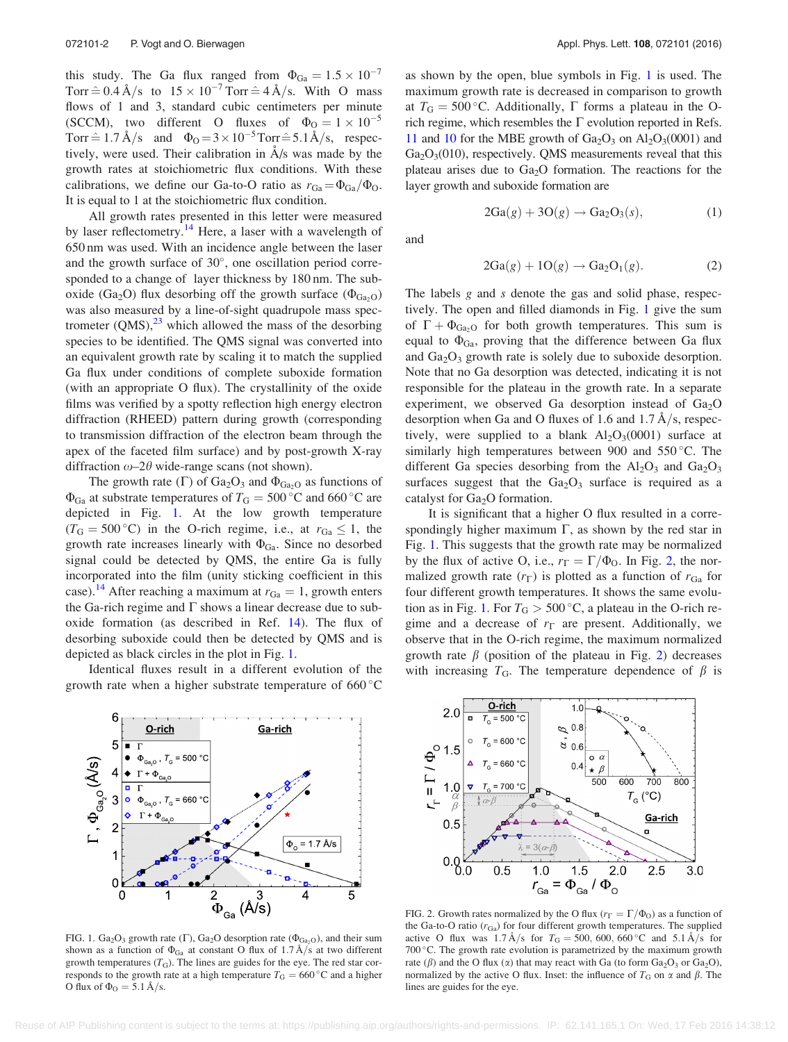<span id="page-2-0"></span>this study. The Ga flux ranged from  $\Phi_{Ga} = 1.5 \times 10^{-7}$ Torr  $\hat{=}$  0.4 Å/s to  $15 \times 10^{-7}$  Torr  $\hat{=}$  4 Å/s. With O mass flows of 1 and 3, standard cubic centimeters per minute (SCCM), two different O fluxes of  $\Phi_0 = 1 \times 10^{-5}$ Torr  $\hat{=} 1.7 \text{ Å/s}$  and  $\Phi_0 = 3 \times 10^{-5}$ Torr $\hat{=} 5.1\text{ Å/s}$ , respectively, were used. Their calibration in  $A/s$  was made by the growth rates at stoichiometric flux conditions. With these calibrations, we define our Ga-to-O ratio as  $r_{Ga} = \Phi_{Ga}/\Phi_{O}$ . It is equal to 1 at the stoichiometric flux condition.

All growth rates presented in this letter were measured by laser reflectometry.<sup>[14](#page-4-0)</sup> Here, a laser with a wavelength of 650 nm was used. With an incidence angle between the laser and the growth surface of 30°, one oscillation period corresponded to a change of layer thickness by 180 nm. The suboxide (Ga<sub>2</sub>O) flux desorbing off the growth surface ( $\Phi_{Ga_2O}$ ) was also measured by a line-of-sight quadrupole mass spectrometer  $(QMS)$ ,<sup>[23](#page-4-0)</sup> which allowed the mass of the desorbing species to be identified. The QMS signal was converted into an equivalent growth rate by scaling it to match the supplied Ga flux under conditions of complete suboxide formation (with an appropriate O flux). The crystallinity of the oxide films was verified by a spotty reflection high energy electron diffraction (RHEED) pattern during growth (corresponding to transmission diffraction of the electron beam through the apex of the faceted film surface) and by post-growth X-ray diffraction  $\omega$ –2 $\theta$  wide-range scans (not shown).

The growth rate  $(\Gamma)$  of Ga<sub>2</sub>O<sub>3</sub> and  $\Phi_{\text{Ga}_2\text{O}}$  as functions of  $\Phi_{Ga}$  at substrate temperatures of  $T_{G} = 500 \degree C$  and 660  $\degree C$  are depicted in Fig. 1. At the low growth temperature  $(T_G = 500\degree C)$  in the O-rich regime, i.e., at  $r_{Ga} \le 1$ , the growth rate increases linearly with  $\Phi_{Ga}$ . Since no desorbed signal could be detected by QMS, the entire Ga is fully incorporated into the film (unity sticking coefficient in this case).<sup>[14](#page-4-0)</sup> After reaching a maximum at  $r_{Ga} = 1$ , growth enters the Ga-rich regime and  $\Gamma$  shows a linear decrease due to suboxide formation (as described in Ref. [14\)](#page-4-0). The flux of desorbing suboxide could then be detected by QMS and is depicted as black circles in the plot in Fig. 1.

Identical fluxes result in a different evolution of the growth rate when a higher substrate temperature of  $660^{\circ}$ C as shown by the open, blue symbols in Fig. 1 is used. The maximum growth rate is decreased in comparison to growth at  $T_{\text{G}} = 500 \degree \text{C}$ . Additionally,  $\Gamma$  forms a plateau in the Orich regime, which resembles the  $\Gamma$  evolution reported in Refs. [11](#page-4-0) and [10](#page-4-0) for the MBE growth of  $Ga_2O_3$  on  $Al_2O_3(0001)$  and  $Ga<sub>2</sub>O<sub>3</sub>(010)$ , respectively. QMS measurements reveal that this plateau arises due to  $Ga<sub>2</sub>O$  formation. The reactions for the layer growth and suboxide formation are

$$
2Ga(g) + 3O(g) \rightarrow Ga_2O_3(s), \tag{1}
$$

and

$$
2Ga(g) + 1O(g) \rightarrow Ga_2O_1(g). \tag{2}
$$

The labels g and s denote the gas and solid phase, respectively. The open and filled diamonds in Fig. 1 give the sum of  $\Gamma + \Phi_{Ga_2O}$  for both growth temperatures. This sum is equal to  $\Phi_{Ga}$ , proving that the difference between Ga flux and  $Ga<sub>2</sub>O<sub>3</sub>$  growth rate is solely due to suboxide desorption. Note that no Ga desorption was detected, indicating it is not responsible for the plateau in the growth rate. In a separate experiment, we observed Ga desorption instead of  $Ga<sub>2</sub>O$ desorption when Ga and O fluxes of 1.6 and  $1.7 \text{ Å/s}$ , respectively, were supplied to a blank  $Al_2O_3(0001)$  surface at similarly high temperatures between 900 and  $550^{\circ}$ C. The different Ga species desorbing from the  $Al_2O_3$  and  $Ga_2O_3$ surfaces suggest that the  $Ga<sub>2</sub>O<sub>3</sub>$  surface is required as a catalyst for  $Ga<sub>2</sub>O$  formation.

It is significant that a higher O flux resulted in a correspondingly higher maximum  $\Gamma$ , as shown by the red star in Fig. 1. This suggests that the growth rate may be normalized by the flux of active O, i.e.,  $r_{\Gamma} = \Gamma/\Phi_0$ . In Fig. 2, the normalized growth rate  $(r_{\Gamma})$  is plotted as a function of  $r_{Ga}$  for four different growth temperatures. It shows the same evolution as in Fig. 1. For  $T_G > 500$  °C, a plateau in the O-rich regime and a decrease of  $r_{\Gamma}$  are present. Additionally, we observe that in the O-rich regime, the maximum normalized growth rate  $\beta$  (position of the plateau in Fig. 2) decreases with increasing  $T_{\text{G}}$ . The temperature dependence of  $\beta$  is



FIG. 1.  $Ga_2O_3$  growth rate ( $\Gamma$ ),  $Ga_2O$  desorption rate ( $\Phi_{Ga_2O}$ ), and their sum shown as a function of  $\Phi_{Ga}$  at constant O flux of 1.7 Å/s at two different growth temperatures  $(T_G)$ . The lines are guides for the eye. The red star corresponds to the growth rate at a high temperature  $T<sub>G</sub> = 660 °C$  and a higher O flux of  $\Phi_0 = 5.1 \text{ Å/s}.$ 



FIG. 2. Growth rates normalized by the O flux ( $r_{\Gamma} = \Gamma/\Phi_0$ ) as a function of the Ga-to-O ratio  $(r_{Ga})$  for four different growth temperatures. The supplied active O flux was 1.7  $\AA$ /s for  $T<sub>G</sub> = 500, 600, 660$ °C and 5.1  $\AA$ /s for  $700\degree$ C. The growth rate evolution is parametrized by the maximum growth rate ( $\beta$ ) and the O flux ( $\alpha$ ) that may react with Ga (to form Ga<sub>2</sub>O<sub>3</sub> or Ga<sub>2</sub>O), normalized by the active O flux. Inset: the influence of  $T_G$  on  $\alpha$  and  $\beta$ . The lines are guides for the eye.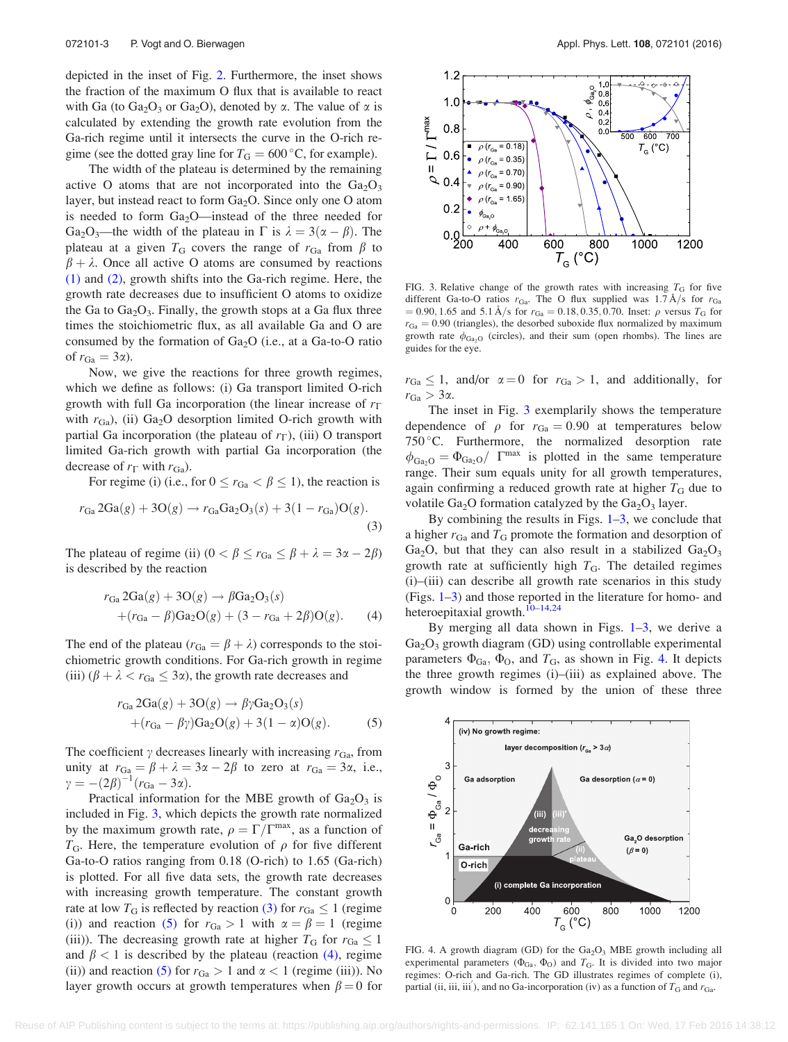<span id="page-3-0"></span>depicted in the inset of Fig. [2](#page-2-0). Furthermore, the inset shows the fraction of the maximum O flux that is available to react with Ga (to Ga<sub>2</sub>O<sub>3</sub> or Ga<sub>2</sub>O), denoted by  $\alpha$ . The value of  $\alpha$  is calculated by extending the growth rate evolution from the Ga-rich regime until it intersects the curve in the O-rich regime (see the dotted gray line for  $T<sub>G</sub> = 600 °C$ , for example).

The width of the plateau is determined by the remaining active O atoms that are not incorporated into the  $Ga<sub>2</sub>O<sub>3</sub>$ layer, but instead react to form  $Ga<sub>2</sub>O$ . Since only one O atom is needed to form  $Ga<sub>2</sub>O$ —instead of the three needed for Ga<sub>2</sub>O<sub>3</sub>—the width of the plateau in  $\Gamma$  is  $\lambda = 3(\alpha - \beta)$ . The plateau at a given  $T_G$  covers the range of  $r_{Ga}$  from  $\beta$  to  $\beta + \lambda$ . Once all active O atoms are consumed by reactions [\(1\)](#page-2-0) and [\(2\)](#page-2-0), growth shifts into the Ga-rich regime. Here, the growth rate decreases due to insufficient O atoms to oxidize the Ga to  $Ga<sub>2</sub>O<sub>3</sub>$ . Finally, the growth stops at a Ga flux three times the stoichiometric flux, as all available Ga and O are consumed by the formation of  $Ga<sub>2</sub>O$  (i.e., at a Ga-to-O ratio of  $r_{Ga} = 3\alpha$ ).

Now, we give the reactions for three growth regimes, which we define as follows: (i) Ga transport limited O-rich growth with full Ga incorporation (the linear increase of  $r_{\Gamma}$ ) with  $r_{Ga}$ ), (ii) Ga<sub>2</sub>O desorption limited O-rich growth with partial Ga incorporation (the plateau of  $r_{\Gamma}$ ), (iii) O transport limited Ga-rich growth with partial Ga incorporation (the decrease of  $r_{\Gamma}$  with  $r_{Ga}$ ).

For regime (i) (i.e., for  $0 \le r_{Ga} < \beta \le 1$ ), the reaction is

$$
r_{Ga} 2Ga(g) + 3O(g) \to r_{Ga} Ga_2O_3(s) + 3(1 - r_{Ga})O(g).
$$
\n(3)

The plateau of regime (ii)  $(0 < \beta \le r_{Ga} \le \beta + \lambda = 3\alpha - 2\beta)$ is described by the reaction

$$
r_{Ga} 2Ga(g) + 3O(g) \rightarrow \beta Ga_2O_3(s)
$$
  
+( $r_{Ga} - \beta$ ) $Ga_2O(g) + (3 - r_{Ga} + 2\beta)O(g)$ . (4)

The end of the plateau ( $r_{Ga} = \beta + \lambda$ ) corresponds to the stoichiometric growth conditions. For Ga-rich growth in regime (iii)  $(\beta + \lambda < r_{Ga} \leq 3\alpha)$ , the growth rate decreases and

$$
r_{Ga} 2Ga(g) + 3O(g) \rightarrow \beta \gamma Ga_2O_3(s)
$$
  
+( $r_{Ga} - \beta \gamma$ ) $Ga_2O(g) + 3(1 - \alpha)O(g)$ . (5)

The coefficient  $\gamma$  decreases linearly with increasing  $r_{Ga}$ , from unity at  $r_{Ga} = \beta + \lambda = 3\alpha - 2\beta$  to zero at  $r_{Ga} = 3\alpha$ , i.e.,  $\gamma = -(2\beta)^{-1}(r_{\text{Ga}} - 3\alpha).$ 

Practical information for the MBE growth of  $Ga<sub>2</sub>O<sub>3</sub>$  is included in Fig. 3, which depicts the growth rate normalized by the maximum growth rate,  $\rho = \Gamma/\Gamma^{\text{max}}$ , as a function of  $T_{\text{G}}$ . Here, the temperature evolution of  $\rho$  for five different Ga-to-O ratios ranging from 0.18 (O-rich) to 1.65 (Ga-rich) is plotted. For all five data sets, the growth rate decreases with increasing growth temperature. The constant growth rate at low  $T_G$  is reflected by reaction (3) for  $r_{Ga} \le 1$  (regime (i)) and reaction (5) for  $r_{Ga} > 1$  with  $\alpha = \beta = 1$  (regime (iii)). The decreasing growth rate at higher  $T_G$  for  $r_{Ga} \leq 1$ and  $\beta$  < 1 is described by the plateau (reaction (4), regime (ii)) and reaction (5) for  $r_{Ga} > 1$  and  $\alpha < 1$  (regime (iii)). No layer growth occurs at growth temperatures when  $\beta = 0$  for



FIG. 3. Relative change of the growth rates with increasing  $T_G$  for five different Ga-to-O ratios  $r_{Ga}$ . The O flux supplied was 1.7 Å/s for  $r_{Ga}$  $= 0.90, 1.65$  and 5.1 Å/s for  $r_{Ga} = 0.18, 0.35, 0.70$ . Inset:  $\rho$  versus  $T_G$  for  $r_{Ga} = 0.90$  (triangles), the desorbed suboxide flux normalized by maximum growth rate  $\phi_{Ga_2O}$  (circles), and their sum (open rhombs). The lines are guides for the eye.

 $r_{Ga} \leq 1$ , and/or  $\alpha = 0$  for  $r_{Ga} > 1$ , and additionally, for  $r_{Ga} > 3\alpha$ .

The inset in Fig. 3 exemplarily shows the temperature dependence of  $\rho$  for  $r_{Ga} = 0.90$  at temperatures below 750 C. Furthermore, the normalized desorption rate  $\phi_{Ga_2O} = \Phi_{Ga_2O} / \Gamma^{max}$  is plotted in the same temperature range. Their sum equals unity for all growth temperatures, again confirming a reduced growth rate at higher  $T<sub>G</sub>$  due to volatile Ga<sub>2</sub>O formation catalyzed by the Ga<sub>2</sub>O<sub>3</sub> layer.

By combining the results in Figs.  $1-3$ , we conclude that a higher  $r_{Ga}$  and  $T_G$  promote the formation and desorption of Ga<sub>2</sub>O, but that they can also result in a stabilized  $Ga_2O_3$ growth rate at sufficiently high  $T<sub>G</sub>$ . The detailed regimes (i)–(iii) can describe all growth rate scenarios in this study (Figs. [1–](#page-2-0)3) and those reported in the literature for homo- and heteroepitaxial growth.<sup>[10–14,24](#page-4-0)</sup>

By merging all data shown in Figs.  $1-3$  $1-3$ , we derive a Ga<sub>2</sub>O<sub>3</sub> growth diagram (GD) using controllable experimental parameters  $\Phi_{Ga}$ ,  $\Phi_{O}$ , and  $T_{Ga}$ , as shown in Fig. 4. It depicts the three growth regimes (i)–(iii) as explained above. The growth window is formed by the union of these three



FIG. 4. A growth diagram (GD) for the  $Ga<sub>2</sub>O<sub>3</sub>$  MBE growth including all experimental parameters  $(\Phi_{Ga}, \Phi_{O})$  and  $T_G$ . It is divided into two major regimes: O-rich and Ga-rich. The GD illustrates regimes of complete (i), partial (ii, iii, iii), and no Ga-incorporation (iv) as a function of  $T_G$  and  $r_{Ga}$ .